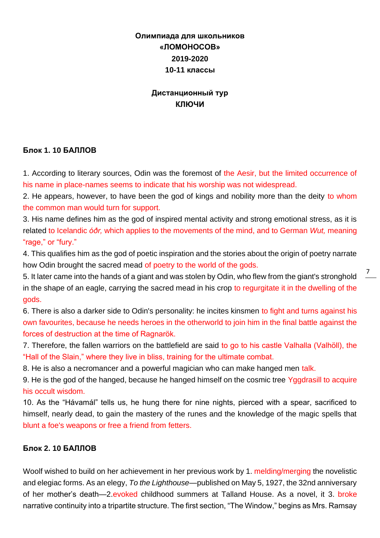# **Олимпиада для школьников «ЛОМОНОСОВ» 2019-2020 10-11 классы**

## **Дистанционный тур КЛЮЧИ**

## **Блок 1. 10 БАЛЛОВ**

1. According to literary sources, Odin was the foremost of the Aesir, but the limited occurrence of his name in place-names seems to indicate that his worship was not widespread.

2. He appears, however, to have been the god of kings and nobility more than the deity to whom the common man would turn for support.

3. His name defines him as the god of inspired mental activity and strong emotional stress, as it is related to Icelandic *óðr,* which applies to the movements of the mind, and to German *Wut,* meaning "rage," or "fury."

4. This qualifies him as the god of poetic inspiration and the stories about the origin of poetry narrate how Odin brought the sacred mead of poetry to the world of the gods.

5. It later came into the hands of a giant and was stolen by Odin, who flew from the giant's stronghold in the shape of an eagle, carrying the sacred mead in his crop to regurgitate it in the dwelling of the gods.

6. There is also a darker side to Odin's personality: he incites kinsmen to fight and turns against his own favourites, because he needs heroes in the otherworld to join him in the final battle against the forces of destruction at the time of Ragnarök.

7. Therefore, the fallen warriors on the battlefield are said to go to his castle Valhalla (Valhöll), the "Hall of the Slain," where they live in bliss, training for the ultimate combat.

8. He is also a necromancer and a powerful magician who can make hanged men talk.

9. He is the god of the hanged, because he hanged himself on the cosmic tree Yggdrasill to acquire his occult wisdom.

10. As the "Hávamál" tells us, he hung there for nine nights, pierced with a spear, sacrificed to himself, nearly dead, to gain the mastery of the runes and the knowledge of the magic spells that blunt a foe's weapons or free a friend from fetters.

## **Блок 2. 10 БАЛЛОВ**

Woolf wished to build on her achievement in her previous work by 1. melding/merging the novelistic and elegiac forms. As an elegy, *To the Lighthouse*—published on May 5, 1927, the 32nd anniversary of her mother's death—2.evoked childhood summers at Talland House. As a novel, it 3. broke narrative continuity into a tripartite structure. The first section, "The Window," begins as Mrs. Ramsay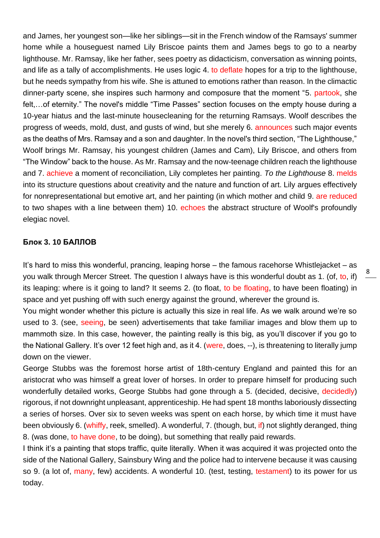and James, her youngest son—like her siblings—sit in the French window of the Ramsays' summer home while a houseguest named Lily Briscoe paints them and James begs to go to a nearby lighthouse. Mr. Ramsay, like her father, sees poetry as didacticism, conversation as winning points, and life as a tally of accomplishments. He uses logic 4. to deflate hopes for a trip to the lighthouse, but he needs sympathy from his wife. She is attuned to emotions rather than reason. In the climactic dinner-party scene, she inspires such harmony and composure that the moment "5. partook, she felt,…of eternity." The novel's middle "Time Passes" section focuses on the empty house during a 10-year hiatus and the last-minute housecleaning for the returning Ramsays. Woolf describes the progress of weeds, mold, dust, and gusts of wind, but she merely 6. announces such major events as the deaths of Mrs. Ramsay and a son and daughter. In the novel's third section, "The Lighthouse," Woolf brings Mr. Ramsay, his youngest children (James and Cam), Lily Briscoe, and others from "The Window" back to the house. As Mr. Ramsay and the now-teenage children reach the lighthouse and 7. achieve a moment of reconciliation, Lily completes her painting. *To the Lighthouse* 8. melds into its structure questions about creativity and the nature and function of art. Lily argues effectively for nonrepresentational but emotive art, and her painting (in which mother and child 9. are reduced to two shapes with a line between them) 10. echoes the abstract structure of Woolf's profoundly elegiac novel.

### **Блок 3. 10 БАЛЛОВ**

It's hard to miss this wonderful, prancing, leaping horse – the famous racehorse Whistlejacket – as you walk through Mercer Street. The question I always have is this wonderful doubt as 1. (of, to, if) its leaping: where is it going to land? It seems 2. (to float, to be floating, to have been floating) in space and yet pushing off with such energy against the ground, wherever the ground is.

You might wonder whether this picture is actually this size in real life. As we walk around we're so used to 3. (see, seeing, be seen) advertisements that take familiar images and blow them up to mammoth size. In this case, however, the painting really is this big, as you'll discover if you go to the National Gallery. It's over 12 feet high and, as it 4. (were, does, --), is threatening to literally jump down on the viewer.

George Stubbs was the foremost horse artist of 18th-century England and painted this for an aristocrat who was himself a great lover of horses. In order to prepare himself for producing such wonderfully detailed works, George Stubbs had gone through a 5. (decided, decisive, decidedly) rigorous, if not downright unpleasant, apprenticeship. He had spent 18 months laboriously dissecting a series of horses. Over six to seven weeks was spent on each horse, by which time it must have been obviously 6. (whiffy, reek, smelled). A wonderful, 7. (though, but, if) not slightly deranged, thing 8. (was done, to have done, to be doing), but something that really paid rewards.

I think it's a painting that stops traffic, quite literally. When it was acquired it was projected onto the side of the National Gallery, Sainsbury Wing and the police had to intervene because it was causing so 9. (a lot of, many, few) accidents. A wonderful 10. (test, testing, testament) to its power for us today.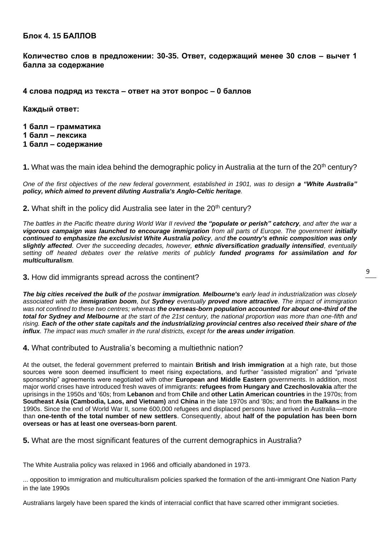## **Блок 4. 15 БАЛЛОВ**

**Количество слов в предложении: 30-35. Ответ, содержащий менее 30 слов – вычет 1 балла за содержание**

#### **4 слова подряд из текста – ответ на этот вопрос – 0 баллов**

**Каждый ответ:**

**1 балл – грамматика 1 балл – лексика 1 балл – содержание**

**1.** What was the main idea behind the demographic policy in Australia at the turn of the 20th century?

*One of the first objectives of the new federal government, established in 1901, was to design a "White Australia" policy, which aimed to prevent diluting Australia's Anglo-Celtic heritage.*

#### **2.** What shift in the policy did Australia see later in the 20<sup>th</sup> century?

*The battles in the Pacific theatre during World War II revived the "populate or perish" catchcry, and after the war a vigorous campaign was launched to encourage immigration from all parts of Europe. The government initially continued to emphasize the exclusivist White Australia policy, and the country's ethnic composition was only slightly affected. Over the succeeding decades, however, ethnic diversification gradually intensified, eventually setting off heated debates over the relative merits of publicly funded programs for assimilation and for multiculturalism.*

#### **3.** How did immigrants spread across the continent?

*The big cities received the bulk of the postwar immigration. Melbourne's early lead in industrialization was closely associated with the immigration boom, but Sydney eventually proved more attractive. The impact of immigration was not confined to these two centres; whereas the overseas-born population accounted for about one-third of the total for Sydney and Melbourne at the start of the 21st century, the national proportion was more than one-fifth and rising. Each of the other state capitals and the industrializing provincial centres also received their share of the influx. The impact was much smaller in the rural districts, except for the areas under irrigation.*

**4.** What contributed to Australia's becoming a multiethnic nation?

At the outset, the federal government preferred to maintain **British and Irish immigration** at a high rate, but those sources were soon deemed insufficient to meet rising expectations, and further "assisted migration" and "private sponsorship" agreements were negotiated with other **European and Middle Eastern** governments. In addition, most major world crises have introduced fresh waves of immigrants: **refugees from Hungary and Czechoslovakia** after the uprisings in the 1950s and '60s; from **Lebanon** and from **Chile** and **other Latin American countries** in the 1970s; from **Southeast Asia (Cambodia, Laos, and Vietnam)** and **China** in the late 1970s and '80s; and from **the Balkans** in the 1990s. Since the end of World War II, some 600,000 refugees and displaced persons have arrived in Australia—more than **one-tenth of the total number of new settlers**. Consequently, about **half of the population has been born overseas or has at least one overseas-born parent**.

**5.** What are the most significant features of the current demographics in Australia?

The White Australia policy was relaxed in 1966 and officially abandoned in 1973.

... opposition to immigration and multiculturalism policies sparked the formation of the anti-immigrant One Nation Party in the late 1990s

Australians largely have been spared the kinds of interracial conflict that have scarred other immigrant societies.